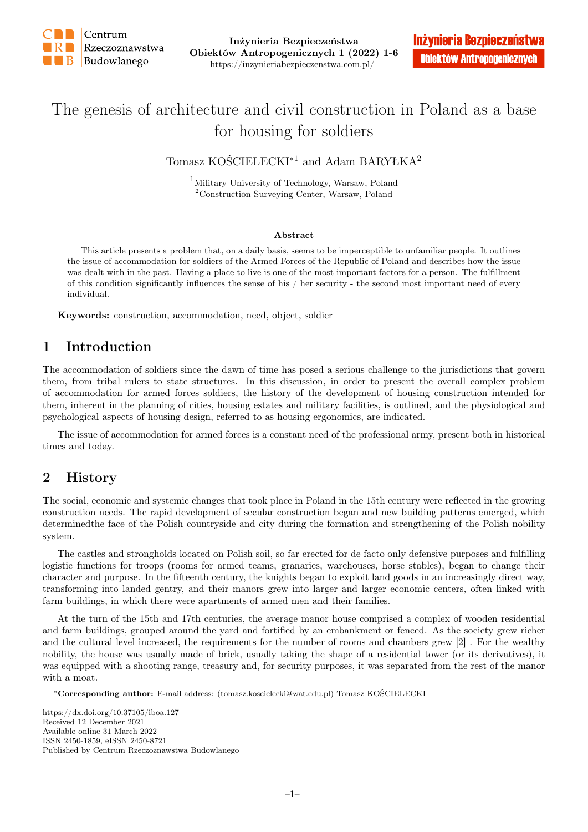

Inżynieria Bezpieczeństwa Obiektów Antropogenicznych 1 (2022) 1-6 https://inzynieriabezpieczenstwa.com.pl/

# The genesis of architecture and civil construction in Poland as a base for housing for soldiers

Tomasz KOŚCIELECKI∗1 and Adam BARYŁKA<sup>2</sup>

<sup>1</sup>Military University of Technology, Warsaw, Poland <sup>2</sup>Construction Surveying Center, Warsaw, Poland

#### Abstract

This article presents a problem that, on a daily basis, seems to be imperceptible to unfamiliar people. It outlines the issue of accommodation for soldiers of the Armed Forces of the Republic of Poland and describes how the issue was dealt with in the past. Having a place to live is one of the most important factors for a person. The fulfillment of this condition significantly influences the sense of his / her security - the second most important need of every individual.

Keywords: construction, accommodation, need, object, soldier

### 1 Introduction

The accommodation of soldiers since the dawn of time has posed a serious challenge to the jurisdictions that govern them, from tribal rulers to state structures. In this discussion, in order to present the overall complex problem of accommodation for armed forces soldiers, the history of the development of housing construction intended for them, inherent in the planning of cities, housing estates and military facilities, is outlined, and the physiological and psychological aspects of housing design, referred to as housing ergonomics, are indicated.

The issue of accommodation for armed forces is a constant need of the professional army, present both in historical times and today.

### 2 History

The social, economic and systemic changes that took place in Poland in the 15th century were reflected in the growing construction needs. The rapid development of secular construction began and new building patterns emerged, which determinedthe face of the Polish countryside and city during the formation and strengthening of the Polish nobility system.

The castles and strongholds located on Polish soil, so far erected for de facto only defensive purposes and fulfilling logistic functions for troops (rooms for armed teams, granaries, warehouses, horse stables), began to change their character and purpose. In the fifteenth century, the knights began to exploit land goods in an increasingly direct way, transforming into landed gentry, and their manors grew into larger and larger economic centers, often linked with farm buildings, in which there were apartments of armed men and their families.

At the turn of the 15th and 17th centuries, the average manor house comprised a complex of wooden residential and farm buildings, grouped around the yard and fortified by an embankment or fenced. As the society grew richer and the cultural level increased, the requirements for the number of rooms and chambers grew [2] . For the wealthy nobility, the house was usually made of brick, usually taking the shape of a residential tower (or its derivatives), it was equipped with a shooting range, treasury and, for security purposes, it was separated from the rest of the manor with a moat.

<sup>∗</sup>Corresponding author: E-mail address: (tomasz.koscielecki@wat.edu.pl) Tomasz KOŚCIELECKI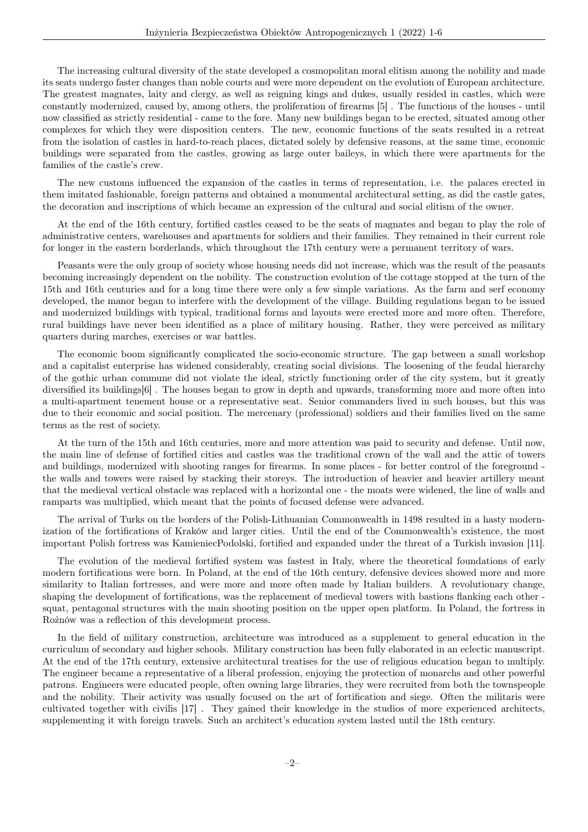The increasing cultural diversity of the state developed a cosmopolitan moral elitism among the nobility and made its seats undergo faster changes than noble courts and were more dependent on the evolution of European architecture. The greatest magnates, laity and clergy, as well as reigning kings and dukes, usually resided in castles, which were constantly modernized, caused by, among others, the proliferation of firearms [5] . The functions of the houses - until now classified as strictly residential - came to the fore. Many new buildings began to be erected, situated among other complexes for which they were disposition centers. The new, economic functions of the seats resulted in a retreat from the isolation of castles in hard-to-reach places, dictated solely by defensive reasons, at the same time, economic buildings were separated from the castles, growing as large outer baileys, in which there were apartments for the families of the castle's crew.

The new customs influenced the expansion of the castles in terms of representation, i.e. the palaces erected in them imitated fashionable, foreign patterns and obtained a monumental architectural setting, as did the castle gates, the decoration and inscriptions of which became an expression of the cultural and social elitism of the owner.

At the end of the 16th century, fortified castles ceased to be the seats of magnates and began to play the role of administrative centers, warehouses and apartments for soldiers and their families. They remained in their current role for longer in the eastern borderlands, which throughout the 17th century were a permanent territory of wars.

Peasants were the only group of society whose housing needs did not increase, which was the result of the peasants becoming increasingly dependent on the nobility. The construction evolution of the cottage stopped at the turn of the 15th and 16th centuries and for a long time there were only a few simple variations. As the farm and serf economy developed, the manor began to interfere with the development of the village. Building regulations began to be issued and modernized buildings with typical, traditional forms and layouts were erected more and more often. Therefore, rural buildings have never been identified as a place of military housing. Rather, they were perceived as military quarters during marches, exercises or war battles.

The economic boom significantly complicated the socio-economic structure. The gap between a small workshop and a capitalist enterprise has widened considerably, creating social divisions. The loosening of the feudal hierarchy of the gothic urban commune did not violate the ideal, strictly functioning order of the city system, but it greatly diversified its buildings[6] . The houses began to grow in depth and upwards, transforming more and more often into a multi-apartment tenement house or a representative seat. Senior commanders lived in such houses, but this was due to their economic and social position. The mercenary (professional) soldiers and their families lived on the same terms as the rest of society.

At the turn of the 15th and 16th centuries, more and more attention was paid to security and defense. Until now, the main line of defense of fortified cities and castles was the traditional crown of the wall and the attic of towers and buildings, modernized with shooting ranges for firearms. In some places - for better control of the foreground the walls and towers were raised by stacking their storeys. The introduction of heavier and heavier artillery meant that the medieval vertical obstacle was replaced with a horizontal one - the moats were widened, the line of walls and ramparts was multiplied, which meant that the points of focused defense were advanced.

The arrival of Turks on the borders of the Polish-Lithuanian Commonwealth in 1498 resulted in a hasty modernization of the fortifications of Kraków and larger cities. Until the end of the Commonwealth's existence, the most important Polish fortress was KamieniecPodolski, fortified and expanded under the threat of a Turkish invasion [11].

The evolution of the medieval fortified system was fastest in Italy, where the theoretical foundations of early modern fortifications were born. In Poland, at the end of the 16th century, defensive devices showed more and more similarity to Italian fortresses, and were more and more often made by Italian builders. A revolutionary change, shaping the development of fortifications, was the replacement of medieval towers with bastions flanking each other squat, pentagonal structures with the main shooting position on the upper open platform. In Poland, the fortress in Rożnów was a reflection of this development process.

In the field of military construction, architecture was introduced as a supplement to general education in the curriculum of secondary and higher schools. Military construction has been fully elaborated in an eclectic manuscript. At the end of the 17th century, extensive architectural treatises for the use of religious education began to multiply. The engineer became a representative of a liberal profession, enjoying the protection of monarchs and other powerful patrons. Engineers were educated people, often owning large libraries, they were recruited from both the townspeople and the nobility. Their activity was usually focused on the art of fortification and siege. Often the militaris were cultivated together with civilis [17] . They gained their knowledge in the studios of more experienced architects, supplementing it with foreign travels. Such an architect's education system lasted until the 18th century.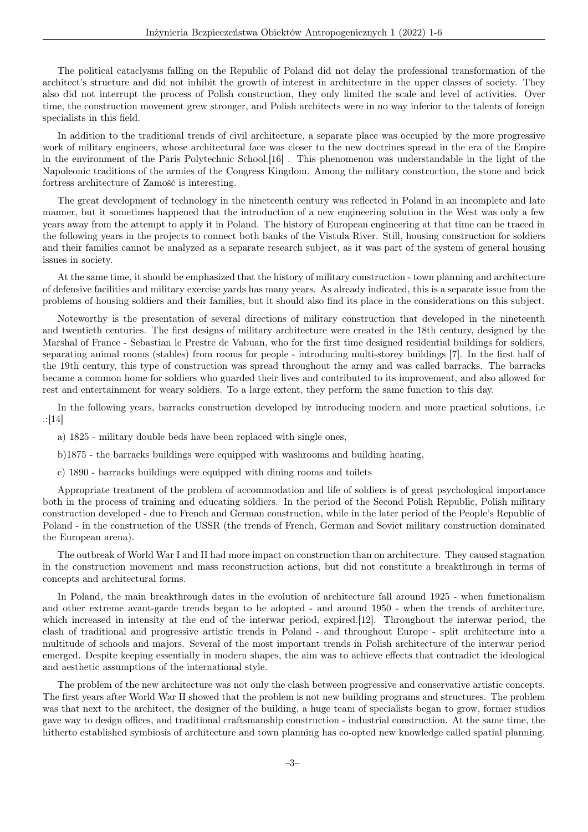The political cataclysms falling on the Republic of Poland did not delay the professional transformation of the architect's structure and did not inhibit the growth of interest in architecture in the upper classes of society. They also did not interrupt the process of Polish construction, they only limited the scale and level of activities. Over time, the construction movement grew stronger, and Polish architects were in no way inferior to the talents of foreign specialists in this field.

In addition to the traditional trends of civil architecture, a separate place was occupied by the more progressive work of military engineers, whose architectural face was closer to the new doctrines spread in the era of the Empire in the environment of the Paris Polytechnic School.[16] . This phenomenon was understandable in the light of the Napoleonic traditions of the armies of the Congress Kingdom. Among the military construction, the stone and brick fortress architecture of Zamość is interesting.

The great development of technology in the nineteenth century was reflected in Poland in an incomplete and late manner, but it sometimes happened that the introduction of a new engineering solution in the West was only a few years away from the attempt to apply it in Poland. The history of European engineering at that time can be traced in the following years in the projects to connect both banks of the Vistula River. Still, housing construction for soldiers and their families cannot be analyzed as a separate research subject, as it was part of the system of general housing issues in society.

At the same time, it should be emphasized that the history of military construction - town planning and architecture of defensive facilities and military exercise yards has many years. As already indicated, this is a separate issue from the problems of housing soldiers and their families, but it should also find its place in the considerations on this subject.

Noteworthy is the presentation of several directions of military construction that developed in the nineteenth and twentieth centuries. The first designs of military architecture were created in the 18th century, designed by the Marshal of France - Sebastian le Prestre de Vabuan, who for the first time designed residential buildings for soldiers, separating animal rooms (stables) from rooms for people - introducing multi-storey buildings [7]. In the first half of the 19th century, this type of construction was spread throughout the army and was called barracks. The barracks became a common home for soldiers who guarded their lives and contributed to its improvement, and also allowed for rest and entertainment for weary soldiers. To a large extent, they perform the same function to this day.

In the following years, barracks construction developed by introducing modern and more practical solutions, i.e .:[14]

a) 1825 - military double beds have been replaced with single ones,

b)1875 - the barracks buildings were equipped with washrooms and building heating,

c) 1890 - barracks buildings were equipped with dining rooms and toilets

Appropriate treatment of the problem of accommodation and life of soldiers is of great psychological importance both in the process of training and educating soldiers. In the period of the Second Polish Republic, Polish military construction developed - due to French and German construction, while in the later period of the People's Republic of Poland - in the construction of the USSR (the trends of French, German and Soviet military construction dominated the European arena).

The outbreak of World War I and II had more impact on construction than on architecture. They caused stagnation in the construction movement and mass reconstruction actions, but did not constitute a breakthrough in terms of concepts and architectural forms.

In Poland, the main breakthrough dates in the evolution of architecture fall around 1925 - when functionalism and other extreme avant-garde trends began to be adopted - and around 1950 - when the trends of architecture, which increased in intensity at the end of the interwar period, expired.[12]. Throughout the interwar period, the clash of traditional and progressive artistic trends in Poland - and throughout Europe - split architecture into a multitude of schools and majors. Several of the most important trends in Polish architecture of the interwar period emerged. Despite keeping essentially in modern shapes, the aim was to achieve effects that contradict the ideological and aesthetic assumptions of the international style.

The problem of the new architecture was not only the clash between progressive and conservative artistic concepts. The first years after World War II showed that the problem is not new building programs and structures. The problem was that next to the architect, the designer of the building, a huge team of specialists began to grow, former studios gave way to design offices, and traditional craftsmanship construction - industrial construction. At the same time, the hitherto established symbiosis of architecture and town planning has co-opted new knowledge called spatial planning.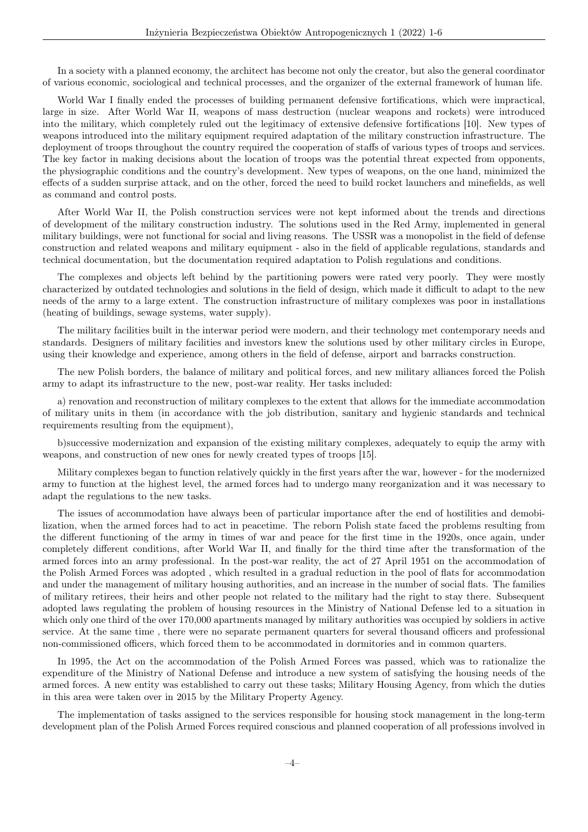In a society with a planned economy, the architect has become not only the creator, but also the general coordinator of various economic, sociological and technical processes, and the organizer of the external framework of human life.

World War I finally ended the processes of building permanent defensive fortifications, which were impractical, large in size. After World War II, weapons of mass destruction (nuclear weapons and rockets) were introduced into the military, which completely ruled out the legitimacy of extensive defensive fortifications [10]. New types of weapons introduced into the military equipment required adaptation of the military construction infrastructure. The deployment of troops throughout the country required the cooperation of staffs of various types of troops and services. The key factor in making decisions about the location of troops was the potential threat expected from opponents, the physiographic conditions and the country's development. New types of weapons, on the one hand, minimized the effects of a sudden surprise attack, and on the other, forced the need to build rocket launchers and minefields, as well as command and control posts.

After World War II, the Polish construction services were not kept informed about the trends and directions of development of the military construction industry. The solutions used in the Red Army, implemented in general military buildings, were not functional for social and living reasons. The USSR was a monopolist in the field of defense construction and related weapons and military equipment - also in the field of applicable regulations, standards and technical documentation, but the documentation required adaptation to Polish regulations and conditions.

The complexes and objects left behind by the partitioning powers were rated very poorly. They were mostly characterized by outdated technologies and solutions in the field of design, which made it difficult to adapt to the new needs of the army to a large extent. The construction infrastructure of military complexes was poor in installations (heating of buildings, sewage systems, water supply).

The military facilities built in the interwar period were modern, and their technology met contemporary needs and standards. Designers of military facilities and investors knew the solutions used by other military circles in Europe, using their knowledge and experience, among others in the field of defense, airport and barracks construction.

The new Polish borders, the balance of military and political forces, and new military alliances forced the Polish army to adapt its infrastructure to the new, post-war reality. Her tasks included:

a) renovation and reconstruction of military complexes to the extent that allows for the immediate accommodation of military units in them (in accordance with the job distribution, sanitary and hygienic standards and technical requirements resulting from the equipment),

b)successive modernization and expansion of the existing military complexes, adequately to equip the army with weapons, and construction of new ones for newly created types of troops [15].

Military complexes began to function relatively quickly in the first years after the war, however - for the modernized army to function at the highest level, the armed forces had to undergo many reorganization and it was necessary to adapt the regulations to the new tasks.

The issues of accommodation have always been of particular importance after the end of hostilities and demobilization, when the armed forces had to act in peacetime. The reborn Polish state faced the problems resulting from the different functioning of the army in times of war and peace for the first time in the 1920s, once again, under completely different conditions, after World War II, and finally for the third time after the transformation of the armed forces into an army professional. In the post-war reality, the act of 27 April 1951 on the accommodation of the Polish Armed Forces was adopted , which resulted in a gradual reduction in the pool of flats for accommodation and under the management of military housing authorities, and an increase in the number of social flats. The families of military retirees, their heirs and other people not related to the military had the right to stay there. Subsequent adopted laws regulating the problem of housing resources in the Ministry of National Defense led to a situation in which only one third of the over 170,000 apartments managed by military authorities was occupied by soldiers in active service. At the same time , there were no separate permanent quarters for several thousand officers and professional non-commissioned officers, which forced them to be accommodated in dormitories and in common quarters.

In 1995, the Act on the accommodation of the Polish Armed Forces was passed, which was to rationalize the expenditure of the Ministry of National Defense and introduce a new system of satisfying the housing needs of the armed forces. A new entity was established to carry out these tasks; Military Housing Agency, from which the duties in this area were taken over in 2015 by the Military Property Agency.

The implementation of tasks assigned to the services responsible for housing stock management in the long-term development plan of the Polish Armed Forces required conscious and planned cooperation of all professions involved in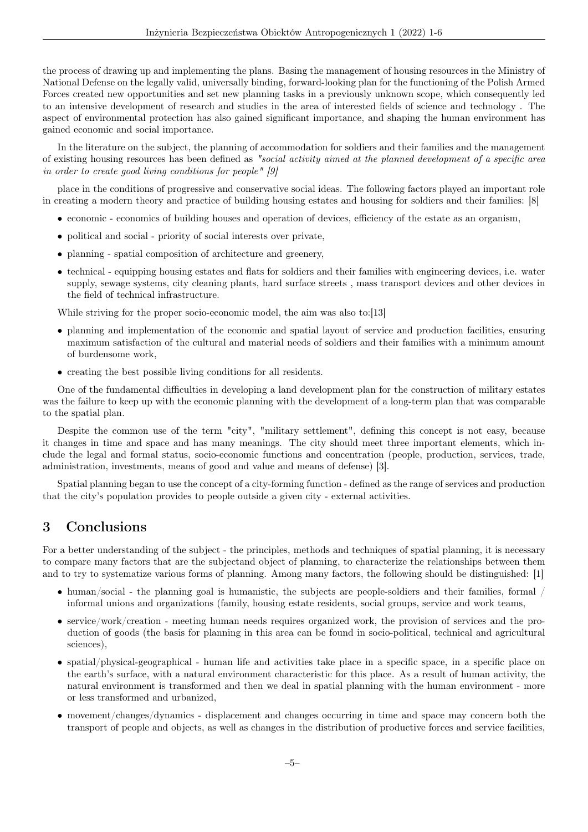the process of drawing up and implementing the plans. Basing the management of housing resources in the Ministry of National Defense on the legally valid, universally binding, forward-looking plan for the functioning of the Polish Armed Forces created new opportunities and set new planning tasks in a previously unknown scope, which consequently led to an intensive development of research and studies in the area of interested fields of science and technology . The aspect of environmental protection has also gained significant importance, and shaping the human environment has gained economic and social importance.

In the literature on the subject, the planning of accommodation for soldiers and their families and the management of existing housing resources has been defined as "social activity aimed at the planned development of a specific area in order to create good living conditions for people" [9]

place in the conditions of progressive and conservative social ideas. The following factors played an important role in creating a modern theory and practice of building housing estates and housing for soldiers and their families: [8]

- economic economics of building houses and operation of devices, efficiency of the estate as an organism,
- political and social priority of social interests over private,
- planning spatial composition of architecture and greenery,
- technical equipping housing estates and flats for soldiers and their families with engineering devices, i.e. water supply, sewage systems, city cleaning plants, hard surface streets , mass transport devices and other devices in the field of technical infrastructure.

While striving for the proper socio-economic model, the aim was also to:[13]

- planning and implementation of the economic and spatial layout of service and production facilities, ensuring maximum satisfaction of the cultural and material needs of soldiers and their families with a minimum amount of burdensome work,
- creating the best possible living conditions for all residents.

One of the fundamental difficulties in developing a land development plan for the construction of military estates was the failure to keep up with the economic planning with the development of a long-term plan that was comparable to the spatial plan.

Despite the common use of the term "city", "military settlement", defining this concept is not easy, because it changes in time and space and has many meanings. The city should meet three important elements, which include the legal and formal status, socio-economic functions and concentration (people, production, services, trade, administration, investments, means of good and value and means of defense) [3].

Spatial planning began to use the concept of a city-forming function - defined as the range of services and production that the city's population provides to people outside a given city - external activities.

#### 3 Conclusions

For a better understanding of the subject - the principles, methods and techniques of spatial planning, it is necessary to compare many factors that are the subjectand object of planning, to characterize the relationships between them and to try to systematize various forms of planning. Among many factors, the following should be distinguished: [1]

- human/social the planning goal is humanistic, the subjects are people-soldiers and their families, formal / informal unions and organizations (family, housing estate residents, social groups, service and work teams,
- service/work/creation meeting human needs requires organized work, the provision of services and the production of goods (the basis for planning in this area can be found in socio-political, technical and agricultural sciences),
- spatial/physical-geographical human life and activities take place in a specific space, in a specific place on the earth's surface, with a natural environment characteristic for this place. As a result of human activity, the natural environment is transformed and then we deal in spatial planning with the human environment - more or less transformed and urbanized,
- movement/changes/dynamics displacement and changes occurring in time and space may concern both the transport of people and objects, as well as changes in the distribution of productive forces and service facilities,